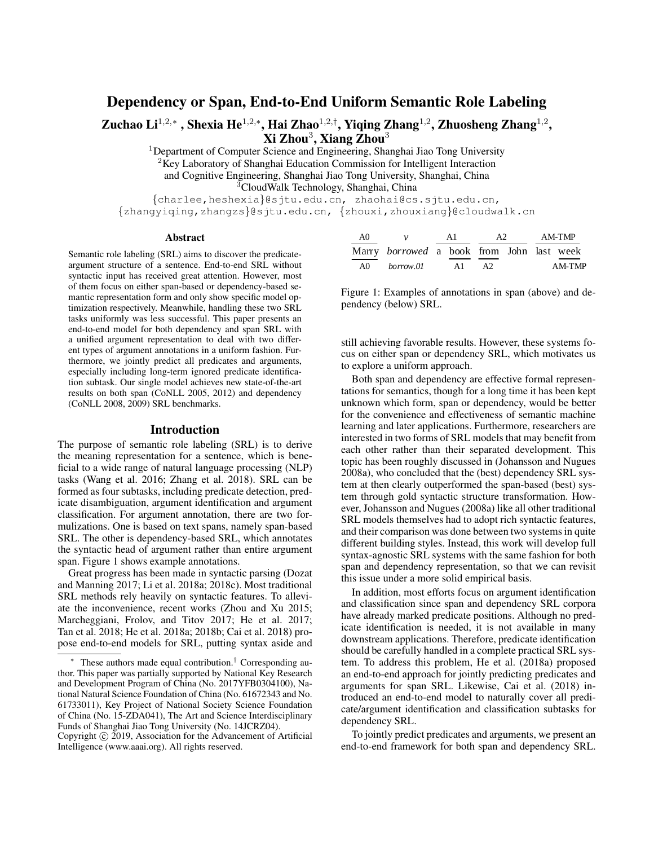# Dependency or Span, End-to-End Uniform Semantic Role Labeling

Zuchao Li<sup>1,2,</sup>\*, Shexia He<sup>1,2,\*</sup>, Hai Zhao<sup>1,2,†</sup>, Yiqing Zhang<sup>1,2</sup>, Zhuosheng Zhang<sup>1,2</sup>,  $X$ i Zhou $^3$ , Xiang Zhou $^3$ 

<sup>1</sup>Department of Computer Science and Engineering, Shanghai Jiao Tong University

<sup>2</sup>Key Laboratory of Shanghai Education Commission for Intelligent Interaction

and Cognitive Engineering, Shanghai Jiao Tong University, Shanghai, China

<sup>3</sup>CloudWalk Technology, Shanghai, China

{charlee,heshexia}@sjtu.edu.cn, zhaohai@cs.sjtu.edu.cn, {zhangyiqing,zhangzs}@sjtu.edu.cn, {zhouxi,zhouxiang}@cloudwalk.cn

#### **Abstract**

Semantic role labeling (SRL) aims to discover the predicateargument structure of a sentence. End-to-end SRL without syntactic input has received great attention. However, most of them focus on either span-based or dependency-based semantic representation form and only show specific model optimization respectively. Meanwhile, handling these two SRL tasks uniformly was less successful. This paper presents an end-to-end model for both dependency and span SRL with a unified argument representation to deal with two different types of argument annotations in a uniform fashion. Furthermore, we jointly predict all predicates and arguments, especially including long-term ignored predicate identification subtask. Our single model achieves new state-of-the-art results on both span (CoNLL 2005, 2012) and dependency (CoNLL 2008, 2009) SRL benchmarks.

#### Introduction

The purpose of semantic role labeling (SRL) is to derive the meaning representation for a sentence, which is beneficial to a wide range of natural language processing (NLP) tasks (Wang et al. 2016; Zhang et al. 2018). SRL can be formed as four subtasks, including predicate detection, predicate disambiguation, argument identification and argument classification. For argument annotation, there are two formulizations. One is based on text spans, namely span-based SRL. The other is dependency-based SRL, which annotates the syntactic head of argument rather than entire argument span. Figure 1 shows example annotations.

Great progress has been made in syntactic parsing (Dozat and Manning 2017; Li et al. 2018a; 2018c). Most traditional SRL methods rely heavily on syntactic features. To alleviate the inconvenience, recent works (Zhou and Xu 2015; Marcheggiani, Frolov, and Titov 2017; He et al. 2017; Tan et al. 2018; He et al. 2018a; 2018b; Cai et al. 2018) propose end-to-end models for SRL, putting syntax aside and

| - A0 | $\mathcal{V}$                                    | A 1 |    | A2  | AM-TMP |        |  |
|------|--------------------------------------------------|-----|----|-----|--------|--------|--|
|      | Marry <i>borrowed</i> a book from John last week |     |    |     |        |        |  |
| AO   | borrow.01                                        |     | A1 | A2. |        | AM-TMP |  |

Figure 1: Examples of annotations in span (above) and dependency (below) SRL.

still achieving favorable results. However, these systems focus on either span or dependency SRL, which motivates us to explore a uniform approach.

Both span and dependency are effective formal representations for semantics, though for a long time it has been kept unknown which form, span or dependency, would be better for the convenience and effectiveness of semantic machine learning and later applications. Furthermore, researchers are interested in two forms of SRL models that may benefit from each other rather than their separated development. This topic has been roughly discussed in (Johansson and Nugues 2008a), who concluded that the (best) dependency SRL system at then clearly outperformed the span-based (best) system through gold syntactic structure transformation. However, Johansson and Nugues (2008a) like all other traditional SRL models themselves had to adopt rich syntactic features, and their comparison was done between two systems in quite different building styles. Instead, this work will develop full syntax-agnostic SRL systems with the same fashion for both span and dependency representation, so that we can revisit this issue under a more solid empirical basis.

In addition, most efforts focus on argument identification and classification since span and dependency SRL corpora have already marked predicate positions. Although no predicate identification is needed, it is not available in many downstream applications. Therefore, predicate identification should be carefully handled in a complete practical SRL system. To address this problem, He et al. (2018a) proposed an end-to-end approach for jointly predicting predicates and arguments for span SRL. Likewise, Cai et al. (2018) introduced an end-to-end model to naturally cover all predicate/argument identification and classification subtasks for dependency SRL.

To jointly predict predicates and arguments, we present an end-to-end framework for both span and dependency SRL.

These authors made equal contribution.<sup>†</sup> Corresponding author. This paper was partially supported by National Key Research and Development Program of China (No. 2017YFB0304100), National Natural Science Foundation of China (No. 61672343 and No. 61733011), Key Project of National Society Science Foundation of China (No. 15-ZDA041), The Art and Science Interdisciplinary Funds of Shanghai Jiao Tong University (No. 14JCRZ04).

Copyright © 2019, Association for the Advancement of Artificial Intelligence (www.aaai.org). All rights reserved.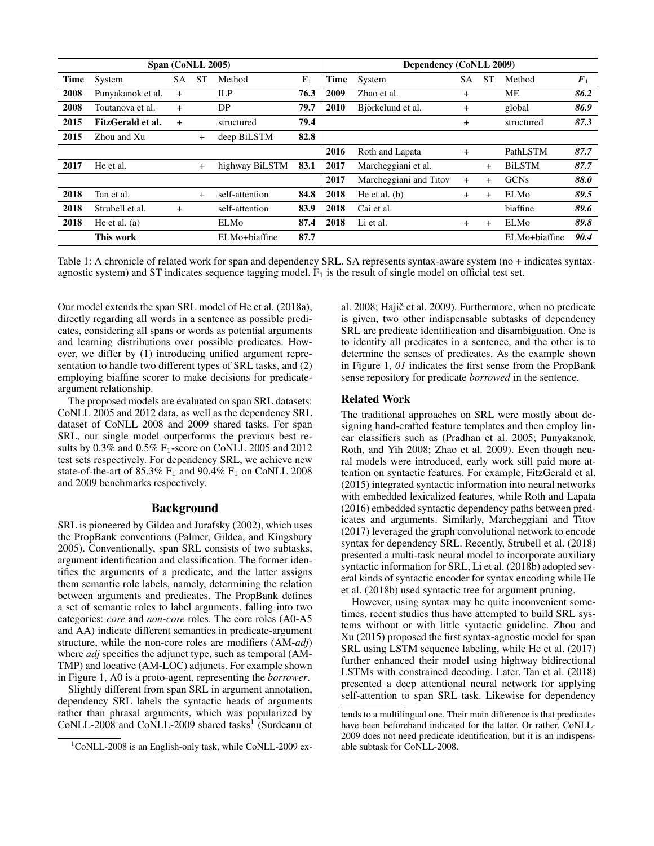|      | Span (CoNLL 2005) |           |           |                | Dependency (CoNLL 2009) |             |                        |     |           |               |                    |
|------|-------------------|-----------|-----------|----------------|-------------------------|-------------|------------------------|-----|-----------|---------------|--------------------|
| Time | System            | SА        | <b>ST</b> | Method         | $F_1$                   | <b>Time</b> | System                 | SА  | <b>ST</b> | Method        | $\boldsymbol{F}_1$ |
| 2008 | Punyakanok et al. | $^{+}$    |           | ILP            | 76.3                    | 2009        | Zhao et al.            | $+$ |           | МE            | 86.2               |
| 2008 | Toutanova et al.  | $\ddot{}$ |           | DP             | 79.7                    | 2010        | Björkelund et al.      | $+$ |           | global        | 86.9               |
| 2015 | FitzGerald et al. | $^{+}$    |           | structured     | 79.4                    |             |                        | $+$ |           | structured    | 87.3               |
| 2015 | Zhou and Xu       |           | $+$       | deep BiLSTM    | 82.8                    |             |                        |     |           |               |                    |
|      |                   |           |           |                |                         | 2016        | Roth and Lapata        | $+$ |           | PathLSTM      | 87.7               |
| 2017 | He et al.         |           | $+$       | highway BiLSTM | 83.1                    | 2017        | Marcheggiani et al.    |     | $+$       | <b>BiLSTM</b> | 87.7               |
|      |                   |           |           |                |                         | 2017        | Marcheggiani and Titov | $+$ | $+$       | <b>GCNs</b>   | 88.0               |
| 2018 | Tan et al.        |           | $+$       | self-attention | 84.8                    | 2018        | He et al. $(b)$        | $+$ | $^{+}$    | ELMo          | 89.5               |
| 2018 | Strubell et al.   | $+$       |           | self-attention | 83.9                    | 2018        | Cai et al.             |     |           | biaffine      | 89.6               |
| 2018 | He et al. $(a)$   |           |           | ELMo           | 87.4                    | 2018        | Li et al.              | $+$ | $+$       | ELMo          | 89.8               |
|      | This work         |           |           | ELMo+biaffine  | 87.7                    |             |                        |     |           | ELMo+biaffine | 90.4               |

Table 1: A chronicle of related work for span and dependency SRL. SA represents syntax-aware system (no + indicates syntaxagnostic system) and ST indicates sequence tagging model.  $F_1$  is the result of single model on official test set.

Our model extends the span SRL model of He et al. (2018a), directly regarding all words in a sentence as possible predicates, considering all spans or words as potential arguments and learning distributions over possible predicates. However, we differ by (1) introducing unified argument representation to handle two different types of SRL tasks, and (2) employing biaffine scorer to make decisions for predicateargument relationship.

The proposed models are evaluated on span SRL datasets: CoNLL 2005 and 2012 data, as well as the dependency SRL dataset of CoNLL 2008 and 2009 shared tasks. For span SRL, our single model outperforms the previous best results by  $0.3\%$  and  $0.5\%$  F<sub>1</sub>-score on CoNLL 2005 and 2012 test sets respectively. For dependency SRL, we achieve new state-of-the-art of  $85.3\%$   $F_1$  and  $90.4\%$   $F_1$  on CoNLL 2008 and 2009 benchmarks respectively.

#### Background

SRL is pioneered by Gildea and Jurafsky (2002), which uses the PropBank conventions (Palmer, Gildea, and Kingsbury 2005). Conventionally, span SRL consists of two subtasks, argument identification and classification. The former identifies the arguments of a predicate, and the latter assigns them semantic role labels, namely, determining the relation between arguments and predicates. The PropBank defines a set of semantic roles to label arguments, falling into two categories: *core* and *non-core* roles. The core roles (A0-A5 and AA) indicate different semantics in predicate-argument structure, while the non-core roles are modifiers (AM-*adj*) where *adj* specifies the adjunct type, such as temporal (AM-TMP) and locative (AM-LOC) adjuncts. For example shown in Figure 1, A0 is a proto-agent, representing the *borrower*.

Slightly different from span SRL in argument annotation, dependency SRL labels the syntactic heads of arguments rather than phrasal arguments, which was popularized by  $CoNLL-2008$  and  $CoNLL-2009$  shared tasks<sup>1</sup> (Surdeanu et

al.  $2008$ ; Hajič et al.  $2009$ ). Furthermore, when no predicate is given, two other indispensable subtasks of dependency SRL are predicate identification and disambiguation. One is to identify all predicates in a sentence, and the other is to determine the senses of predicates. As the example shown in Figure 1, *01* indicates the first sense from the PropBank sense repository for predicate *borrowed* in the sentence.

# Related Work

The traditional approaches on SRL were mostly about designing hand-crafted feature templates and then employ linear classifiers such as (Pradhan et al. 2005; Punyakanok, Roth, and Yih 2008; Zhao et al. 2009). Even though neural models were introduced, early work still paid more attention on syntactic features. For example, FitzGerald et al. (2015) integrated syntactic information into neural networks with embedded lexicalized features, while Roth and Lapata (2016) embedded syntactic dependency paths between predicates and arguments. Similarly, Marcheggiani and Titov (2017) leveraged the graph convolutional network to encode syntax for dependency SRL. Recently, Strubell et al. (2018) presented a multi-task neural model to incorporate auxiliary syntactic information for SRL, Li et al. (2018b) adopted several kinds of syntactic encoder for syntax encoding while He et al. (2018b) used syntactic tree for argument pruning.

However, using syntax may be quite inconvenient sometimes, recent studies thus have attempted to build SRL systems without or with little syntactic guideline. Zhou and Xu (2015) proposed the first syntax-agnostic model for span SRL using LSTM sequence labeling, while He et al. (2017) further enhanced their model using highway bidirectional LSTMs with constrained decoding. Later, Tan et al. (2018) presented a deep attentional neural network for applying self-attention to span SRL task. Likewise for dependency

 $1$ CoNLL-2008 is an English-only task, while CoNLL-2009 ex-

tends to a multilingual one. Their main difference is that predicates have been beforehand indicated for the latter. Or rather, CoNLL-2009 does not need predicate identification, but it is an indispensable subtask for CoNLL-2008.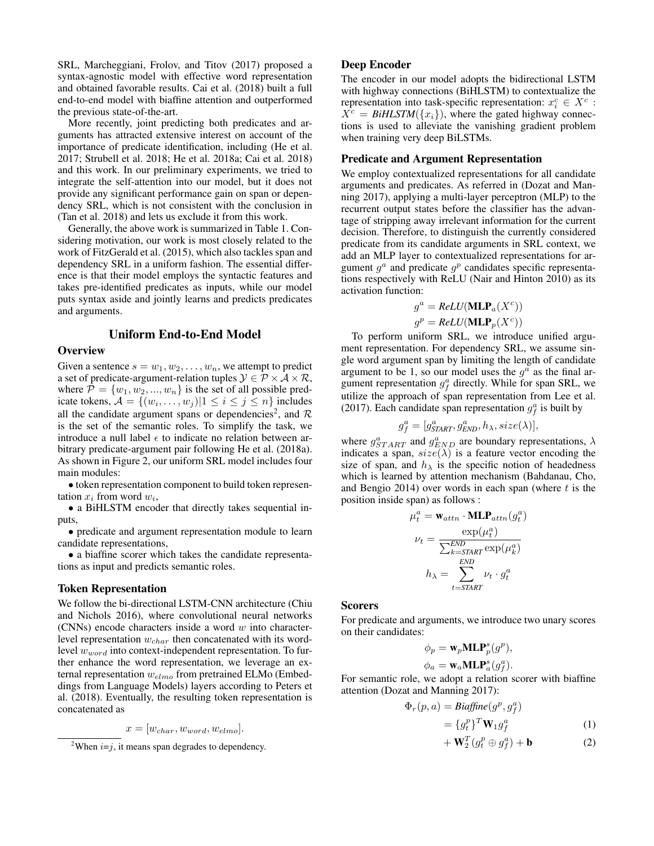SRL, Marcheggiani, Frolov, and Titov (2017) proposed a syntax-agnostic model with effective word representation and obtained favorable results. Cai et al. (2018) built a full end-to-end model with biaffine attention and outperformed the previous state-of-the-art.

More recently, joint predicting both predicates and arguments has attracted extensive interest on account of the importance of predicate identification, including (He et al. 2017; Strubell et al. 2018; He et al. 2018a; Cai et al. 2018) and this work. In our preliminary experiments, we tried to integrate the self-attention into our model, but it does not provide any significant performance gain on span or dependency SRL, which is not consistent with the conclusion in (Tan et al. 2018) and lets us exclude it from this work.

Generally, the above work is summarized in Table 1. Considering motivation, our work is most closely related to the work of FitzGerald et al. (2015), which also tackles span and dependency SRL in a uniform fashion. The essential difference is that their model employs the syntactic features and takes pre-identified predicates as inputs, while our model puts syntax aside and jointly learns and predicts predicates and arguments.

# Uniform End-to-End Model

# **Overview**

Given a sentence  $s = w_1, w_2, \dots, w_n$ , we attempt to predict a set of predicate-argument-relation tuples  $\mathcal{Y} \in \mathcal{P} \times \mathcal{A} \times \mathcal{R}$ , where  $P = \{w_1, w_2, ..., w_n\}$  is the set of all possible predicate tokens,  $\mathcal{A} = \{(w_i, \dots, w_j) | 1 \le i \le j \le n\}$  includes all the candidate argument spans or dependencies<sup>2</sup>, and  $\mathcal{R}$ is the set of the semantic roles. To simplify the task, we introduce a null label  $\epsilon$  to indicate no relation between arbitrary predicate-argument pair following He et al. (2018a). As shown in Figure 2, our uniform SRL model includes four main modules:

• token representation component to build token representation  $x_i$  from word  $w_i$ ,

• a BiHLSTM encoder that directly takes sequential inputs,

• predicate and argument representation module to learn candidate representations,

• a biaffine scorer which takes the candidate representations as input and predicts semantic roles.

#### Token Representation

We follow the bi-directional LSTM-CNN architecture (Chiu and Nichols 2016), where convolutional neural networks (CNNs) encode characters inside a word  $w$  into characterlevel representation  $w_{char}$  then concatenated with its wordlevel  $w_{word}$  into context-independent representation. To further enhance the word representation, we leverage an external representation  $w_{elmo}$  from pretrained ELMo (Embeddings from Language Models) layers according to Peters et al. (2018). Eventually, the resulting token representation is concatenated as

$$
x = [w_{char}, w_{word}, w_{elmo}].
$$

#### Deep Encoder

The encoder in our model adopts the bidirectional LSTM with highway connections (BiHLSTM) to contextualize the representation into task-specific representation:  $x_i^c \in X^c$ :  $X^c = BiH LSTM({x_i})$ , where the gated highway connections is used to alleviate the vanishing gradient problem when training very deep BiLSTMs.

# Predicate and Argument Representation

We employ contextualized representations for all candidate arguments and predicates. As referred in (Dozat and Manning 2017), applying a multi-layer perceptron (MLP) to the recurrent output states before the classifier has the advantage of stripping away irrelevant information for the current decision. Therefore, to distinguish the currently considered predicate from its candidate arguments in SRL context, we add an MLP layer to contextualized representations for argument  $g^a$  and predicate  $g^p$  candidates specific representations respectively with ReLU (Nair and Hinton 2010) as its activation function:

$$
g^{a} = ReLU(\mathbf{MLP}_{a}(X^{c}))
$$

$$
g^{p} = ReLU(\mathbf{MLP}_{p}(X^{c}))
$$

To perform uniform SRL, we introduce unified argument representation. For dependency SRL, we assume single word argument span by limiting the length of candidate argument to be 1, so our model uses the  $g^a$  as the final argument representation  $g_f^a$  directly. While for span SRL, we utilize the approach of span representation from Lee et al. (2017). Each candidate span representation  $g_f^a$  is built by

$$
g_f^a = [g_{\text{STAT}}^a, g_{\text{END}}^a, h_\lambda, size(\lambda)],
$$

where  $g_{START}^a$  and  $g_{END}^a$  are boundary representations,  $\lambda$ indicates a span,  $size(\lambda)$  is a feature vector encoding the size of span, and  $h_{\lambda}$  is the specific notion of headedness which is learned by attention mechanism (Bahdanau, Cho, and Bengio 2014) over words in each span (where  $t$  is the position inside span) as follows :

$$
\begin{aligned} \mu_t^a &= \mathbf{w}_{attn} \cdot \mathbf{MLP}_{attn}(g_t^a) \\ \nu_t &= \frac{\exp(\mu_t^a)}{\sum_{k=START}^{END}\exp(\mu_k^a)} \\ h_\lambda &= \sum_{t=START}^{END} \nu_t \cdot g_t^a \end{aligned}
$$

#### **Scorers**

For predicate and arguments, we introduce two unary scores on their candidates:

$$
\phi_p = \mathbf{w}_p \mathbf{MLP}_p^s(g^p),
$$
  

$$
\phi_a = \mathbf{w}_a \mathbf{MLP}_a^s(g_f^a).
$$

For semantic role, we adopt a relation scorer with biaffine attention (Dozat and Manning 2017):

$$
\Phi_r(p, a) = \text{Biaffine}(g^p, g_f^a)
$$
  
= 
$$
\{g_t^p\}^T \mathbf{W}_1 g_f^a
$$
 (1)

$$
+\mathbf{W}_2^T(g_t^p \oplus g_f^a) + \mathbf{b}
$$
 (2)

<sup>&</sup>lt;sup>2</sup>When  $i=j$ , it means span degrades to dependency.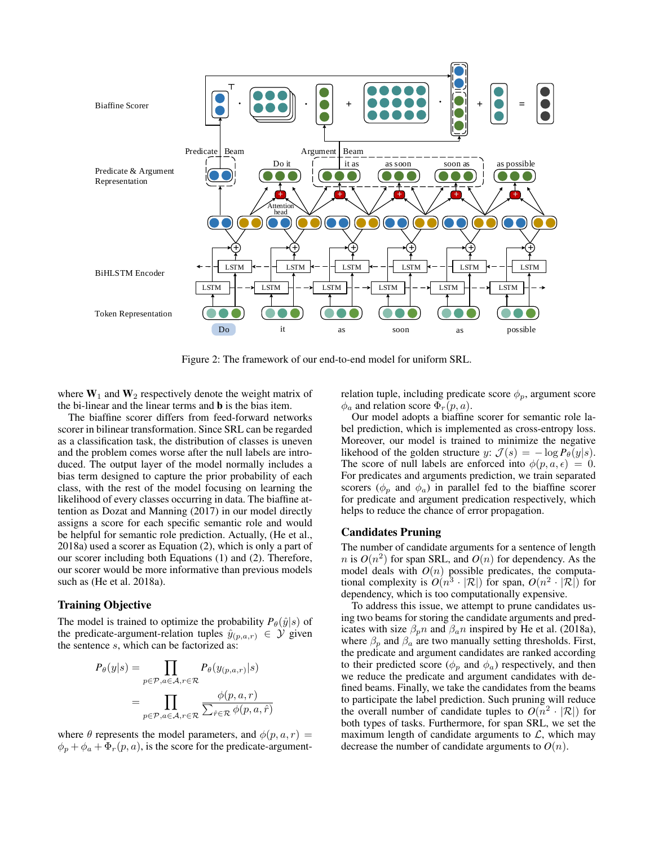

Figure 2: The framework of our end-to-end model for uniform SRL.

where  $W_1$  and  $W_2$  respectively denote the weight matrix of the bi-linear and the linear terms and b is the bias item.

The biaffine scorer differs from feed-forward networks scorer in bilinear transformation. Since SRL can be regarded as a classification task, the distribution of classes is uneven and the problem comes worse after the null labels are introduced. The output layer of the model normally includes a bias term designed to capture the prior probability of each class, with the rest of the model focusing on learning the likelihood of every classes occurring in data. The biaffine attention as Dozat and Manning (2017) in our model directly assigns a score for each specific semantic role and would be helpful for semantic role prediction. Actually, (He et al., 2018a) used a scorer as Equation (2), which is only a part of our scorer including both Equations (1) and (2). Therefore, our scorer would be more informative than previous models such as (He et al. 2018a).

#### Training Objective

The model is trained to optimize the probability  $P_{\theta}(\hat{y}|s)$  of the predicate-argument-relation tuples  $\hat{y}_{(p,a,r)} \in \mathcal{Y}$  given the sentence s, which can be factorized as:

$$
P_{\theta}(y|s) = \prod_{p \in \mathcal{P}, a \in \mathcal{A}, r \in \mathcal{R}} P_{\theta}(y_{(p,a,r)}|s)
$$
  
= 
$$
\prod_{p \in \mathcal{P}, a \in \mathcal{A}, r \in \mathcal{R}} \frac{\phi(p,a,r)}{\sum_{\hat{r} \in \mathcal{R}} \phi(p,a,\hat{r})}
$$

where  $\theta$  represents the model parameters, and  $\phi(p, a, r)$  =  $\phi_p + \phi_a + \Phi_r(p, a)$ , is the score for the predicate-argumentrelation tuple, including predicate score  $\phi_p$ , argument score  $\phi_a$  and relation score  $\Phi_r(p, a)$ .

Our model adopts a biaffine scorer for semantic role label prediction, which is implemented as cross-entropy loss. Moreover, our model is trained to minimize the negative likehood of the golden structure y:  $\mathcal{J}(s) = -\log P_{\theta}(y|s)$ . The score of null labels are enforced into  $\phi(p, a, \epsilon) = 0$ . For predicates and arguments prediction, we train separated scorers ( $\phi_p$  and  $\phi_a$ ) in parallel fed to the biaffine scorer for predicate and argument predication respectively, which helps to reduce the chance of error propagation.

### Candidates Pruning

The number of candidate arguments for a sentence of length  $n$  is  $O(n^2)$  for span SRL, and  $O(n)$  for dependency. As the model deals with  $O(n)$  possible predicates, the computational complexity is  $O(n^3 \cdot |\mathcal{R}|)$  for span,  $O(n^2 \cdot |\mathcal{R}|)$  for dependency, which is too computationally expensive.

To address this issue, we attempt to prune candidates using two beams for storing the candidate arguments and predicates with size  $\beta_p n$  and  $\beta_a n$  inspired by He et al. (2018a), where  $\beta_p$  and  $\beta_a$  are two manually setting thresholds. First, the predicate and argument candidates are ranked according to their predicted score ( $\phi_p$  and  $\phi_a$ ) respectively, and then we reduce the predicate and argument candidates with defined beams. Finally, we take the candidates from the beams to participate the label prediction. Such pruning will reduce the overall number of candidate tuples to  $O(n^2 \cdot |\mathcal{R}|)$  for both types of tasks. Furthermore, for span SRL, we set the maximum length of candidate arguments to  $\mathcal{L}$ , which may decrease the number of candidate arguments to  $O(n)$ .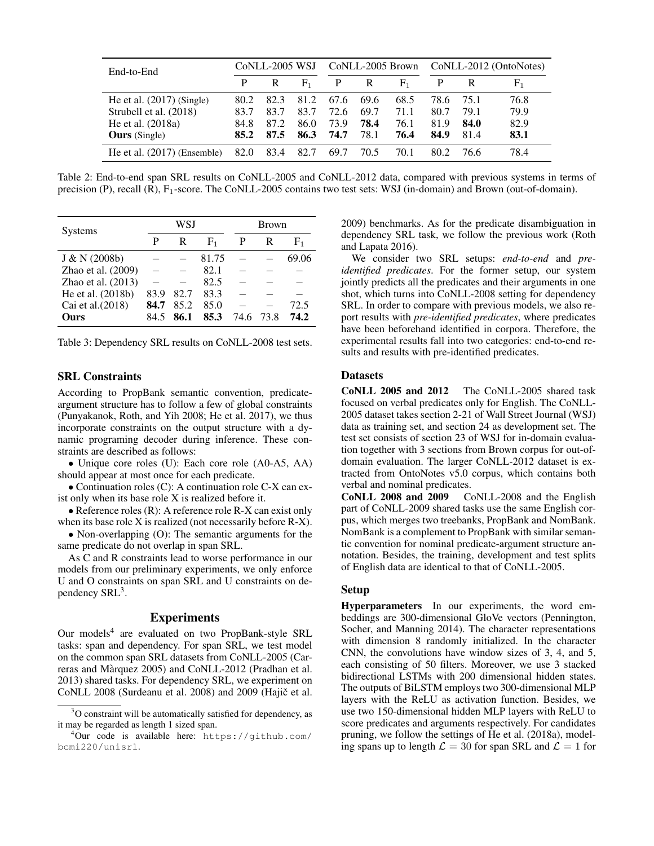| End-to-End                    | CoNLL-2005 WSJ |      |                | CoNLL-2005 Brown |      |             | CoNLL-2012 (OntoNotes) |      |             |
|-------------------------------|----------------|------|----------------|------------------|------|-------------|------------------------|------|-------------|
|                               | P              | R    | F <sub>1</sub> | P                | R    | ${\rm F}_1$ | P                      | R    | ${\rm F}_1$ |
| He et al. $(2017)$ (Single)   | 80.2           | 82.3 | 81.2           | 67.6             | 69.6 | 68.5        | 78.6                   | 75.1 | 76.8        |
| Strubell et al. (2018)        | 83.7           | 83.7 | 83.7           | 72.6             | 69.7 | 71.1        | 80.7                   | 79.1 | 79.9        |
| He et al. $(2018a)$           | 84.8           | 87.2 | 86.0           | 73.9             | 78.4 | 76.1        | 81.9                   | 84.0 | 82.9        |
| <b>Ours</b> (Single)          | 85.2           | 87.5 | 86.3           | 74.7             | 78.1 | 76.4        | 84.9                   | 81.4 | 83.1        |
| He et al. $(2017)$ (Ensemble) | 82.0           | 83.4 | 82.7           | 69.7             | 70.5 | 70.1        | 80.2                   | 76.6 | 78.4        |

Table 2: End-to-end span SRL results on CoNLL-2005 and CoNLL-2012 data, compared with previous systems in terms of precision (P), recall (R), F1-score. The CoNLL-2005 contains two test sets: WSJ (in-domain) and Brown (out-of-domain).

| <b>Systems</b>     |      | WSJ  |       | <b>Brown</b> |      |             |  |
|--------------------|------|------|-------|--------------|------|-------------|--|
|                    | P    | R    |       |              | R    | ${\rm F}_1$ |  |
| J & N (2008b)      |      |      | 81.75 |              |      | 69.06       |  |
| Zhao et al. (2009) |      |      | 82.1  |              |      |             |  |
| Zhao et al. (2013) |      |      | 82.5  |              |      |             |  |
| He et al. (2018b)  | 83.9 | 82.7 | 83.3  |              |      |             |  |
| Cai et al. (2018)  | 84.7 | 85.2 | 85.0  |              |      | 72.5        |  |
| Ours               | 84.5 | 86.1 | 85.3  | 74.6         | 73.8 | 74.2        |  |

Table 3: Dependency SRL results on CoNLL-2008 test sets.

#### SRL Constraints

According to PropBank semantic convention, predicateargument structure has to follow a few of global constraints (Punyakanok, Roth, and Yih 2008; He et al. 2017), we thus incorporate constraints on the output structure with a dynamic programing decoder during inference. These constraints are described as follows:

• Unique core roles (U): Each core role (A0-A5, AA) should appear at most once for each predicate.

• Continuation roles (C): A continuation role C-X can exist only when its base role X is realized before it.

• Reference roles (R): A reference role R-X can exist only when its base role X is realized (not necessarily before R-X).

• Non-overlapping (O): The semantic arguments for the same predicate do not overlap in span SRL.

As C and R constraints lead to worse performance in our models from our preliminary experiments, we only enforce U and O constraints on span SRL and U constraints on dependency SRL<sup>3</sup>.

#### Experiments

Our models<sup>4</sup> are evaluated on two PropBank-style SRL tasks: span and dependency. For span SRL, we test model on the common span SRL datasets from CoNLL-2005 (Carreras and Marquez 2005) and CoNLL-2012 (Pradhan et al. ` 2013) shared tasks. For dependency SRL, we experiment on CoNLL 2008 (Surdeanu et al. 2008) and 2009 (Hajič et al.

2009) benchmarks. As for the predicate disambiguation in dependency SRL task, we follow the previous work (Roth and Lapata 2016).

We consider two SRL setups: *end-to-end* and *preidentified predicates*. For the former setup, our system jointly predicts all the predicates and their arguments in one shot, which turns into CoNLL-2008 setting for dependency SRL. In order to compare with previous models, we also report results with *pre-identified predicates*, where predicates have been beforehand identified in corpora. Therefore, the experimental results fall into two categories: end-to-end results and results with pre-identified predicates.

#### **Datasets**

CoNLL 2005 and 2012 The CoNLL-2005 shared task focused on verbal predicates only for English. The CoNLL-2005 dataset takes section 2-21 of Wall Street Journal (WSJ) data as training set, and section 24 as development set. The test set consists of section 23 of WSJ for in-domain evaluation together with 3 sections from Brown corpus for out-ofdomain evaluation. The larger CoNLL-2012 dataset is extracted from OntoNotes v5.0 corpus, which contains both verbal and nominal predicates.

CoNLL 2008 and 2009 CoNLL-2008 and the English part of CoNLL-2009 shared tasks use the same English corpus, which merges two treebanks, PropBank and NomBank. NomBank is a complement to PropBank with similar semantic convention for nominal predicate-argument structure annotation. Besides, the training, development and test splits of English data are identical to that of CoNLL-2005.

### Setup

Hyperparameters In our experiments, the word embeddings are 300-dimensional GloVe vectors (Pennington, Socher, and Manning 2014). The character representations with dimension 8 randomly initialized. In the character CNN, the convolutions have window sizes of 3, 4, and 5, each consisting of 50 filters. Moreover, we use 3 stacked bidirectional LSTMs with 200 dimensional hidden states. The outputs of BiLSTM employs two 300-dimensional MLP layers with the ReLU as activation function. Besides, we use two 150-dimensional hidden MLP layers with ReLU to score predicates and arguments respectively. For candidates pruning, we follow the settings of He et al. (2018a), modeling spans up to length  $\mathcal{L} = 30$  for span SRL and  $\mathcal{L} = 1$  for

<sup>&</sup>lt;sup>3</sup>O constraint will be automatically satisfied for dependency, as it may be regarded as length 1 sized span.

<sup>4</sup>Our code is available here: https://github.com/ bcmi220/unisrl.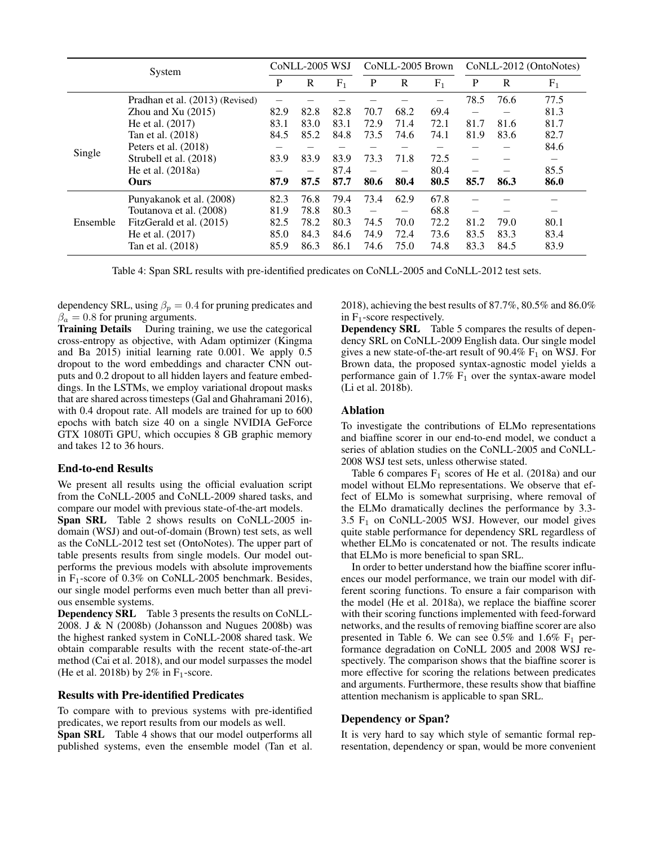| System   |                                 |      |      | CoNLL-2005 WSJ<br>CoNLL-2005 Brown |                          |              |       | CoNLL-2012 (OntoNotes) |      |       |
|----------|---------------------------------|------|------|------------------------------------|--------------------------|--------------|-------|------------------------|------|-------|
|          |                                 | P    | R    | $F_1$                              | P                        | $\mathbb{R}$ | $F_1$ | P                      | R    | $F_1$ |
|          | Pradhan et al. (2013) (Revised) |      |      |                                    |                          |              |       | 78.5                   | 76.6 | 77.5  |
|          | Zhou and $Xu(2015)$             | 82.9 | 82.8 | 82.8                               | 70.7                     | 68.2         | 69.4  |                        |      | 81.3  |
|          | He et al. $(2017)$              | 83.1 | 83.0 | 83.1                               | 72.9                     | 71.4         | 72.1  | 81.7                   | 81.6 | 81.7  |
|          | Tan et al. (2018)               | 84.5 | 85.2 | 84.8                               | 73.5                     | 74.6         | 74.1  | 81.9                   | 83.6 | 82.7  |
|          | Peters et al. $(2018)$          |      |      |                                    |                          |              |       |                        |      | 84.6  |
| Single   | Strubell et al. (2018)          | 83.9 | 83.9 | 83.9                               | 73.3                     | 71.8         | 72.5  |                        |      |       |
|          | He et al. (2018a)               |      |      | 87.4                               |                          |              | 80.4  |                        |      | 85.5  |
|          | <b>Ours</b>                     | 87.9 | 87.5 | 87.7                               | 80.6                     | 80.4         | 80.5  | 85.7                   | 86.3 | 86.0  |
|          | Punyakanok et al. (2008)        | 82.3 | 76.8 | 79.4                               | 73.4                     | 62.9         | 67.8  |                        |      |       |
| Ensemble | Toutanova et al. (2008)         | 81.9 | 78.8 | 80.3                               | $\overline{\phantom{0}}$ |              | 68.8  |                        |      |       |
|          | FitzGerald et al. (2015)        | 82.5 | 78.2 | 80.3                               | 74.5                     | 70.0         | 72.2  | 81.2                   | 79.0 | 80.1  |
|          | He et al. (2017)                | 85.0 | 84.3 | 84.6                               | 74.9                     | 72.4         | 73.6  | 83.5                   | 83.3 | 83.4  |
|          | Tan et al. (2018)               | 85.9 | 86.3 | 86.1                               | 74.6                     | 75.0         | 74.8  | 83.3                   | 84.5 | 83.9  |

Table 4: Span SRL results with pre-identified predicates on CoNLL-2005 and CoNLL-2012 test sets.

dependency SRL, using  $\beta_p = 0.4$  for pruning predicates and  $\beta_a = 0.8$  for pruning arguments.

Training Details During training, we use the categorical cross-entropy as objective, with Adam optimizer (Kingma and Ba 2015) initial learning rate 0.001. We apply 0.5 dropout to the word embeddings and character CNN outputs and 0.2 dropout to all hidden layers and feature embeddings. In the LSTMs, we employ variational dropout masks that are shared across timesteps (Gal and Ghahramani 2016), with 0.4 dropout rate. All models are trained for up to 600 epochs with batch size 40 on a single NVIDIA GeForce GTX 1080Ti GPU, which occupies 8 GB graphic memory and takes 12 to 36 hours.

### End-to-end Results

We present all results using the official evaluation script from the CoNLL-2005 and CoNLL-2009 shared tasks, and compare our model with previous state-of-the-art models.

Span SRL Table 2 shows results on CoNLL-2005 indomain (WSJ) and out-of-domain (Brown) test sets, as well as the CoNLL-2012 test set (OntoNotes). The upper part of table presents results from single models. Our model outperforms the previous models with absolute improvements in  $F_1$ -score of 0.3% on CoNLL-2005 benchmark. Besides, our single model performs even much better than all previous ensemble systems.

Dependency SRL Table 3 presents the results on CoNLL-2008. J & N (2008b) (Johansson and Nugues 2008b) was the highest ranked system in CoNLL-2008 shared task. We obtain comparable results with the recent state-of-the-art method (Cai et al. 2018), and our model surpasses the model (He et al. 2018b) by 2% in  $F_1$ -score.

### Results with Pre-identified Predicates

To compare with to previous systems with pre-identified predicates, we report results from our models as well.

Span SRL Table 4 shows that our model outperforms all published systems, even the ensemble model (Tan et al. 2018), achieving the best results of 87.7%, 80.5% and 86.0% in  $F_1$ -score respectively.

Dependency SRL Table 5 compares the results of dependency SRL on CoNLL-2009 English data. Our single model gives a new state-of-the-art result of  $90.4\%$  F<sub>1</sub> on WSJ. For Brown data, the proposed syntax-agnostic model yields a performance gain of  $1.7\%$   $F_1$  over the syntax-aware model (Li et al. 2018b).

# Ablation

To investigate the contributions of ELMo representations and biaffine scorer in our end-to-end model, we conduct a series of ablation studies on the CoNLL-2005 and CoNLL-2008 WSJ test sets, unless otherwise stated.

Table 6 compares  $F_1$  scores of He et al. (2018a) and our model without ELMo representations. We observe that effect of ELMo is somewhat surprising, where removal of the ELMo dramatically declines the performance by 3.3-  $3.5$  F<sub>1</sub> on CoNLL-2005 WSJ. However, our model gives quite stable performance for dependency SRL regardless of whether ELMo is concatenated or not. The results indicate that ELMo is more beneficial to span SRL.

In order to better understand how the biaffine scorer influences our model performance, we train our model with different scoring functions. To ensure a fair comparison with the model (He et al. 2018a), we replace the biaffine scorer with their scoring functions implemented with feed-forward networks, and the results of removing biaffine scorer are also presented in Table 6. We can see  $0.5\%$  and  $1.6\%$  F<sub>1</sub> performance degradation on CoNLL 2005 and 2008 WSJ respectively. The comparison shows that the biaffine scorer is more effective for scoring the relations between predicates and arguments. Furthermore, these results show that biaffine attention mechanism is applicable to span SRL.

### Dependency or Span?

It is very hard to say which style of semantic formal representation, dependency or span, would be more convenient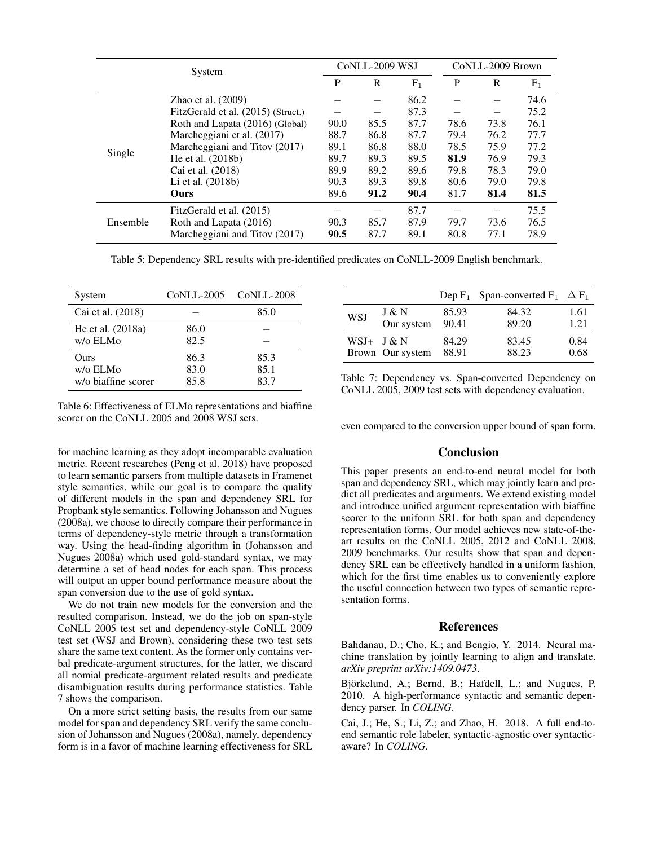| System   |                                    |      | CoNLL-2009 WSJ |       |      | CoNLL-2009 Brown |       |  |
|----------|------------------------------------|------|----------------|-------|------|------------------|-------|--|
|          |                                    | P    | $\mathbf R$    | $F_1$ | P    | R                | $F_1$ |  |
|          | Zhao et al. $(2009)$               |      |                | 86.2  |      |                  | 74.6  |  |
|          | FitzGerald et al. (2015) (Struct.) |      |                | 87.3  |      |                  | 75.2  |  |
|          | Roth and Lapata (2016) (Global)    | 90.0 | 85.5           | 87.7  | 78.6 | 73.8             | 76.1  |  |
|          | Marcheggiani et al. (2017)         | 88.7 | 86.8           | 87.7  | 79.4 | 76.2             | 77.7  |  |
|          | Marcheggiani and Titov (2017)      | 89.1 | 86.8           | 88.0  | 78.5 | 75.9             | 77.2  |  |
| Single   | He et al. (2018b)                  | 89.7 | 89.3           | 89.5  | 81.9 | 76.9             | 79.3  |  |
|          | Cai et al. (2018)                  | 89.9 | 89.2           | 89.6  | 79.8 | 78.3             | 79.0  |  |
|          | Li et al. (2018b)                  | 90.3 | 89.3           | 89.8  | 80.6 | 79.0             | 79.8  |  |
|          | Ours                               | 89.6 | 91.2           | 90.4  | 81.7 | 81.4             | 81.5  |  |
|          | FitzGerald et al. (2015)           |      |                | 87.7  |      |                  | 75.5  |  |
| Ensemble | Roth and Lapata (2016)             | 90.3 | 85.7           | 87.9  | 79.7 | 73.6             | 76.5  |  |
|          | Marcheggiani and Titov (2017)      | 90.5 | 87.7           | 89.1  | 80.8 | 77.1             | 78.9  |  |

Table 5: Dependency SRL results with pre-identified predicates on CoNLL-2009 English benchmark.

| System                                  |                      | CoNLL-2005 CoNLL-2008 |
|-----------------------------------------|----------------------|-----------------------|
| Cai et al. (2018)                       |                      | 85.0                  |
| He et al. (2018a)<br>w/o ELMo           | 86.0<br>82.5         |                       |
| Ours<br>w/o ELMo<br>w/o biaffine scorer | 86.3<br>83.0<br>85.8 | 85.3<br>85.1<br>83.7  |

Table 6: Effectiveness of ELMo representations and biaffine scorer on the CoNLL 2005 and 2008 WSJ sets.

for machine learning as they adopt incomparable evaluation metric. Recent researches (Peng et al. 2018) have proposed to learn semantic parsers from multiple datasets in Framenet style semantics, while our goal is to compare the quality of different models in the span and dependency SRL for Propbank style semantics. Following Johansson and Nugues (2008a), we choose to directly compare their performance in terms of dependency-style metric through a transformation way. Using the head-finding algorithm in (Johansson and Nugues 2008a) which used gold-standard syntax, we may determine a set of head nodes for each span. This process will output an upper bound performance measure about the span conversion due to the use of gold syntax.

We do not train new models for the conversion and the resulted comparison. Instead, we do the job on span-style CoNLL 2005 test set and dependency-style CoNLL 2009 test set (WSJ and Brown), considering these two test sets share the same text content. As the former only contains verbal predicate-argument structures, for the latter, we discard all nomial predicate-argument related results and predicate disambiguation results during performance statistics. Table 7 shows the comparison.

On a more strict setting basis, the results from our same model for span and dependency SRL verify the same conclusion of Johansson and Nugues (2008a), namely, dependency form is in a favor of machine learning effectiveness for SRL

|            |                  |       | Dep $F_1$ Span-converted $F_1$ $\Delta F_1$ |      |
|------------|------------------|-------|---------------------------------------------|------|
| <b>WSJ</b> | J & N            | 85.93 | 84.32                                       | 1.61 |
|            | Our system       | 90.41 | 89.20                                       | 1.21 |
|            | $WSJ+$ J & N     | 84.29 | 83.45                                       | 0.84 |
|            | Brown Our system | 88.91 | 88.23                                       | 0.68 |

Table 7: Dependency vs. Span-converted Dependency on CoNLL 2005, 2009 test sets with dependency evaluation.

even compared to the conversion upper bound of span form.

# Conclusion

This paper presents an end-to-end neural model for both span and dependency SRL, which may jointly learn and predict all predicates and arguments. We extend existing model and introduce unified argument representation with biaffine scorer to the uniform SRL for both span and dependency representation forms. Our model achieves new state-of-theart results on the CoNLL 2005, 2012 and CoNLL 2008, 2009 benchmarks. Our results show that span and dependency SRL can be effectively handled in a uniform fashion, which for the first time enables us to conveniently explore the useful connection between two types of semantic representation forms.

#### **References**

Bahdanau, D.; Cho, K.; and Bengio, Y. 2014. Neural machine translation by jointly learning to align and translate. *arXiv preprint arXiv:1409.0473*.

Björkelund, A.; Bernd, B.; Hafdell, L.; and Nugues, P. 2010. A high-performance syntactic and semantic dependency parser. In *COLING*.

Cai, J.; He, S.; Li, Z.; and Zhao, H. 2018. A full end-toend semantic role labeler, syntactic-agnostic over syntacticaware? In *COLING*.